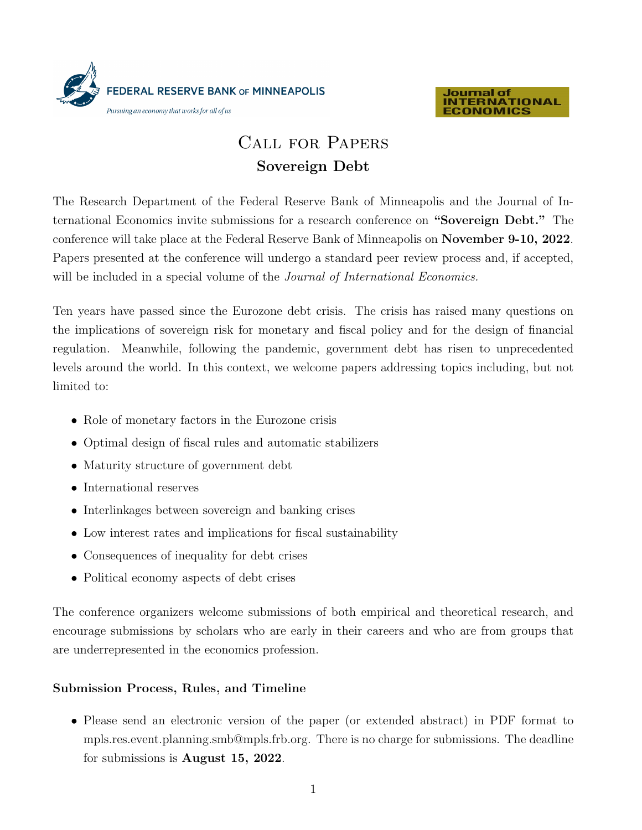



### $\overline{C}$ Call for Papers Sovereign Debt

ternational Economics invite submissions for a research conference on "Sovereign Debt." The conference will take place at the Federal Reserve Bank of Minneapolis on  $\bf Nov$ bla con re culpa verci tore pel magnimus maximus aciis as sandem voluptat fugiasperum venissit, conest estem Papers presented at the conference will undergo a standard peer review process and, if accepted, will be included in a special volume of the Journal of International Economics. conference will take place at the Federal Reserve Bank of Minneapolis on **November 9-10, 2022**. The Research Department of the Federal Reserve Bank of Minneapolis and the Journal of In-

Ten years have passed since the Eurozone debt crisis. The crisis has the implications of sovereign risk for monetary and fiscal policy and for the design of financial regulation. Meanwhile, following the pandemic, government debt has risen to unprecedented levels around the world. In this context, we welcome papers addressing topics including, but not solorum in repe andella qui aut venet officaeptiur as es a cum et ipsunt. Ten years have passed since the Eurozone debt crisis. The crisis has raised many questions on limited to:

- $\bullet\,$  Role of monetary factors in the Eurozone crisis
- Itatur as intum. Maturity structure of government debt • International reserves • Optimal design of fiscal rules and automatic stabilizers
- $\mathbf{Q}$ us siti torrum eri opta voluptas peritissed commonluptas peritisseque voltantisse que voluptas peritisse $\mathbf{Q}$ • Maturity structure of government debt
- International reserves
- $\bullet\,$ Interlinkages between sovereign and banking crises
- Name  $\overline{P}$  and interest of  $\overline{P}$ • Low interest rates and implications for fiscal sustainability
- Consequences of inequality for debt crises
- encourage submissions by scholars who are early in their careers, who are not NBER affiliates, • Political economy aspects of debt crises

encourage submissions by scholars who are early in their careers and who are from groups that are underrepresented in the economics profession. The conference organizers welcome submissions of both empirical and theoretical research, and

# Submission Process, Rules, and Timeline

• Please send an electronic version of the paper (or extended abstract) in PDF format to mpls.res.event.planning.smb@mpls.frb.org. There is no charge for submissions. The deadline for submissions is August 15, 2022.